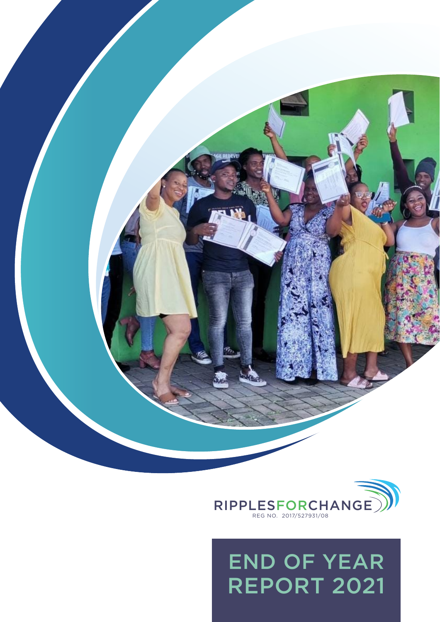

with the control of the control of the control of



## END OF YEAR REPORT 2021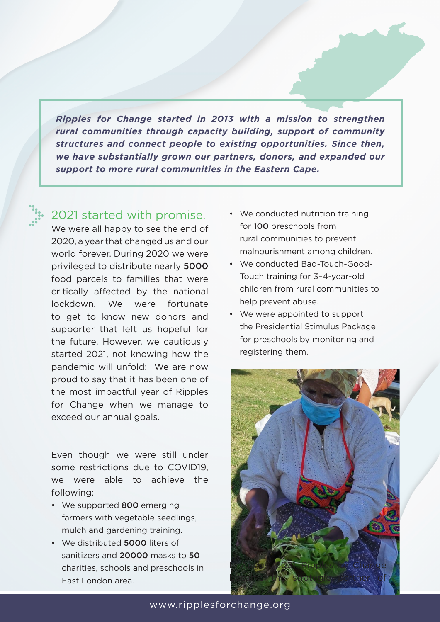*Ripples for Change started in 2013 with a mission to strengthen rural communities through capacity building, support of community structures and connect people to existing opportunities. Since then, we have substantially grown our partners, donors, and expanded our support to more rural communities in the Eastern Cape.*

## 2021 started with promise.

We were all happy to see the end of 2020, a year that changed us and our world forever. During 2020 we were privileged to distribute nearly 5000 food parcels to families that were critically affected by the national lockdown. We were fortunate to get to know new donors and supporter that left us hopeful for the future. However, we cautiously started 2021, not knowing how the pandemic will unfold: We are now proud to say that it has been one of the most impactful year of Ripples for Change when we manage to exceed our annual goals.

Even though we were still under some restrictions due to COVID19, we were able to achieve the following:

- We supported 800 emerging farmers with vegetable seedlings, mulch and gardening training.
- We distributed **5000** liters of sanitizers and 20000 masks to 50 charities, schools and preschools in East London area.
- We conducted nutrition training for 100 preschools from rural communities to prevent malnourishment among children.
- We conducted Bad-Touch-Good-Touch training for 3–4-year-old children from rural communities to help prevent abuse.
- We were appointed to support the Presidential Stimulus Package for preschools by monitoring and registering them.